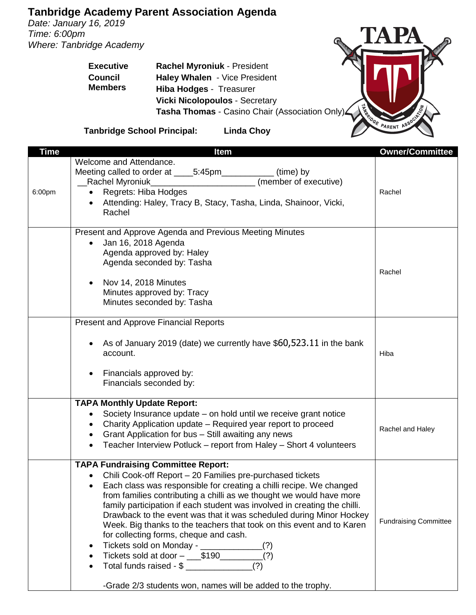## **Tanbridge Academy Parent Association Agenda**

*Date: January 16, 2019 Time: 6:00pm Where: Tanbridge Academy*

TAPA **CONTRACTOR** 

**Executive Council Members Rachel Myroniuk** - President **Haley Whalen** - Vice President **Hiba Hodges** - Treasurer **Vicki Nicolopoulos** - Secretary **Tasha Thomas** - Casino Chair (Association Only)

**Tanbridge School Principal: Linda Choy**

| <b>Time</b> | <b>Item</b>                                                                                                                                                                                                                                                                                                                                                                                                                                                                                                                                                                                                                                                                                                                                                     | <b>Owner/Committee</b>       |
|-------------|-----------------------------------------------------------------------------------------------------------------------------------------------------------------------------------------------------------------------------------------------------------------------------------------------------------------------------------------------------------------------------------------------------------------------------------------------------------------------------------------------------------------------------------------------------------------------------------------------------------------------------------------------------------------------------------------------------------------------------------------------------------------|------------------------------|
| 6:00pm      | Welcome and Attendance.<br>(time) by<br>Meeting called to order at _____5:45pm_____________<br>(member of executive)<br>Regrets: Hiba Hodges<br>Attending: Haley, Tracy B, Stacy, Tasha, Linda, Shainoor, Vicki,<br>Rachel                                                                                                                                                                                                                                                                                                                                                                                                                                                                                                                                      | Rachel                       |
|             | Present and Approve Agenda and Previous Meeting Minutes<br>Jan 16, 2018 Agenda<br>Agenda approved by: Haley<br>Agenda seconded by: Tasha<br>Nov 14, 2018 Minutes<br>Minutes approved by: Tracy<br>Minutes seconded by: Tasha                                                                                                                                                                                                                                                                                                                                                                                                                                                                                                                                    | Rachel                       |
|             | <b>Present and Approve Financial Reports</b><br>As of January 2019 (date) we currently have \$60,523.11 in the bank<br>account.<br>Financials approved by:<br>Financials seconded by:                                                                                                                                                                                                                                                                                                                                                                                                                                                                                                                                                                           | Hiba                         |
|             | <b>TAPA Monthly Update Report:</b><br>Society Insurance update – on hold until we receive grant notice<br>Charity Application update - Required year report to proceed<br>Grant Application for bus - Still awaiting any news<br>Teacher Interview Potluck - report from Haley - Short 4 volunteers                                                                                                                                                                                                                                                                                                                                                                                                                                                             | Rachel and Haley             |
|             | <b>TAPA Fundraising Committee Report:</b><br>Chili Cook-off Report - 20 Families pre-purchased tickets<br>Each class was responsible for creating a chilli recipe. We changed<br>from families contributing a chilli as we thought we would have more<br>family participation if each student was involved in creating the chilli.<br>Drawback to the event was that it was scheduled during Minor Hockey<br>Week. Big thanks to the teachers that took on this event and to Karen<br>for collecting forms, cheque and cash.<br>Tickets sold on Monday - _____________(?)<br>٠<br>Tickets sold at door - ____\$190__________(?)<br>Total funds raised - $\frac{1}{2}$ _______________________(?)<br>-Grade 2/3 students won, names will be added to the trophy. | <b>Fundraising Committee</b> |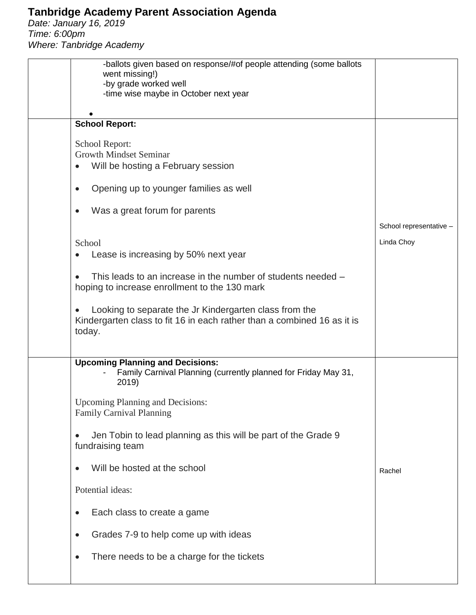## **Tanbridge Academy Parent Association Agenda**

*Date: January 16, 2019 Time: 6:00pm Where: Tanbridge Academy*

| -ballots given based on response/#of people attending (some ballots<br>went missing!)                                                       |                         |
|---------------------------------------------------------------------------------------------------------------------------------------------|-------------------------|
| -by grade worked well<br>-time wise maybe in October next year                                                                              |                         |
|                                                                                                                                             |                         |
| <b>School Report:</b>                                                                                                                       |                         |
| School Report:                                                                                                                              |                         |
| <b>Growth Mindset Seminar</b>                                                                                                               |                         |
| Will be hosting a February session<br>$\bullet$                                                                                             |                         |
| Opening up to younger families as well<br>$\bullet$                                                                                         |                         |
| Was a great forum for parents<br>$\bullet$                                                                                                  |                         |
|                                                                                                                                             | School representative - |
| School                                                                                                                                      | Linda Choy              |
| Lease is increasing by 50% next year<br>$\bullet$                                                                                           |                         |
| This leads to an increase in the number of students needed -<br>$\bullet$<br>hoping to increase enrollment to the 130 mark                  |                         |
| Looking to separate the Jr Kindergarten class from the<br>Kindergarten class to fit 16 in each rather than a combined 16 as it is<br>today. |                         |
| <b>Upcoming Planning and Decisions:</b><br>Family Carnival Planning (currently planned for Friday May 31,<br>2019)                          |                         |
| <b>Upcoming Planning and Decisions:</b><br><b>Family Carnival Planning</b>                                                                  |                         |
| Jen Tobin to lead planning as this will be part of the Grade 9<br>$\bullet$<br>fundraising team                                             |                         |
| Will be hosted at the school<br>$\bullet$                                                                                                   | Rachel                  |
| Potential ideas:                                                                                                                            |                         |
| Each class to create a game<br>$\bullet$                                                                                                    |                         |
| Grades 7-9 to help come up with ideas<br>$\bullet$                                                                                          |                         |
| There needs to be a charge for the tickets<br>$\bullet$                                                                                     |                         |
|                                                                                                                                             |                         |